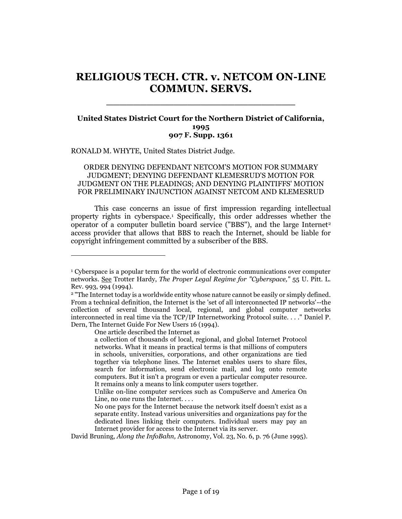# **RELIGIOUS TECH. CTR. v. NETCOM ON-LINE COMMUN. SERVS.**

\_\_\_\_\_\_\_\_\_\_\_\_\_\_\_\_\_\_\_\_\_\_\_\_\_\_\_\_

# **United States District Court for the Northern District of California, 1995 907 F. Supp. 1361**

RONALD M. WHYTE, United States District Judge.

#### ORDER DENYING DEFENDANT NETCOM'S MOTION FOR SUMMARY JUDGMENT; DENYING DEFENDANT KLEMESRUD'S MOTION FOR JUDGMENT ON THE PLEADINGS; AND DENYING PLAINTIFFS' MOTION FOR PRELIMINARY INJUNCTION AGAINST NETCOM AND KLEMESRUD

This case concerns an issue of first impression regarding intellectual property rights in cyberspace.<sup>1</sup> Specifically, this order addresses whether the operator of a computer bulletin board service ("BBS"), and the large Internet<sup>2</sup> access provider that allows that BBS to reach the Internet, should be liable for copyright infringement committed by a subscriber of the BBS.

One article described the Internet as

<sup>1</sup> Cyberspace is a popular term for the world of electronic communications over computer networks. See Trotter Hardy, *The Proper Legal Regime for "Cyberspace,"* 55 U. Pitt. L. Rev. 993, 994 (1994).

<sup>2</sup> "The Internet today is a worldwide entity whose nature cannot be easily or simply defined. From a technical definition, the Internet is the 'set of all interconnected IP networks'--the collection of several thousand local, regional, and global computer networks interconnected in real time via the TCP/IP Internetworking Protocol suite. . . ." Daniel P. Dern, The Internet Guide For New Users 16 (1994).

a collection of thousands of local, regional, and global Internet Protocol networks. What it means in practical terms is that millions of computers in schools, universities, corporations, and other organizations are tied together via telephone lines. The Internet enables users to share files, search for information, send electronic mail, and log onto remote computers. But it isn't a program or even a particular computer resource. It remains only a means to link computer users together.

Unlike on-line computer services such as CompuServe and America On Line, no one runs the Internet. . . .

No one pays for the Internet because the network itself doesn't exist as a separate entity. Instead various universities and organizations pay for the dedicated lines linking their computers. Individual users may pay an Internet provider for access to the Internet via its server.

David Bruning, *Along the InfoBahn,* Astronomy, Vol. 23, No. 6, p. 76 (June 1995).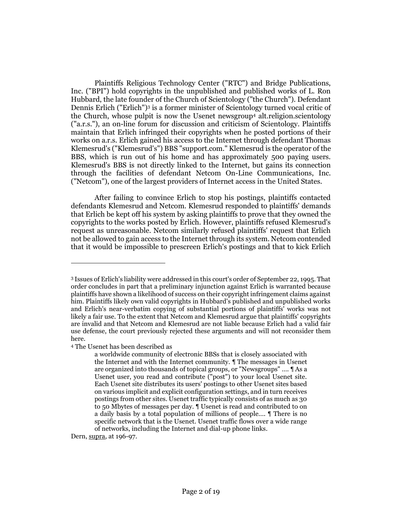Plaintiffs Religious Technology Center ("RTC") and Bridge Publications, Inc. ("BPI") hold copyrights in the unpublished and published works of L. Ron Hubbard, the late founder of the Church of Scientology ("the Church"). Defendant Dennis Erlich ("Erlich")<sup>3</sup> is a former minister of Scientology turned vocal critic of the Church, whose pulpit is now the Usenet newsgroup<sup>4</sup> alt.religion.scientology ("a.r.s."), an on-line forum for discussion and criticism of Scientology. Plaintiffs maintain that Erlich infringed their copyrights when he posted portions of their works on a.r.s. Erlich gained his access to the Internet through defendant Thomas Klemesrud's ("Klemesrud's") BBS "support.com." Klemesrud is the operator of the BBS, which is run out of his home and has approximately 500 paying users. Klemesrud's BBS is not directly linked to the Internet, but gains its connection through the facilities of defendant Netcom On-Line Communications, Inc. ("Netcom"), one of the largest providers of Internet access in the United States.

After failing to convince Erlich to stop his postings, plaintiffs contacted defendants Klemesrud and Netcom. Klemesrud responded to plaintiffs' demands that Erlich be kept off his system by asking plaintiffs to prove that they owned the copyrights to the works posted by Erlich. However, plaintiffs refused Klemesrud's request as unreasonable. Netcom similarly refused plaintiffs' request that Erlich not be allowed to gain access to the Internet through its system. Netcom contended that it would be impossible to prescreen Erlich's postings and that to kick Erlich

Dern, supra, at 196-97.

<sup>3</sup> Issues of Erlich's liability were addressed in this court's order of September 22, 1995. That order concludes in part that a preliminary injunction against Erlich is warranted because plaintiffs have shown a likelihood of success on their copyright infringement claims against him. Plaintiffs likely own valid copyrights in Hubbard's published and unpublished works and Erlich's near-verbatim copying of substantial portions of plaintiffs' works was not likely a fair use. To the extent that Netcom and Klemesrud argue that plaintiffs' copyrights are invalid and that Netcom and Klemesrud are not liable because Erlich had a valid fair use defense, the court previously rejected these arguments and will not reconsider them here.

<sup>4</sup> The Usenet has been described as

a worldwide community of electronic BBSs that is closely associated with the Internet and with the Internet community. ¶ The messages in Usenet are organized into thousands of topical groups, or "Newsgroups" …. ¶ As a Usenet user, you read and contribute ("post") to your local Usenet site. Each Usenet site distributes its users' postings to other Usenet sites based on various implicit and explicit configuration settings, and in turn receives postings from other sites. Usenet traffic typically consists of as much as 30 to 50 Mbytes of messages per day. ¶ Usenet is read and contributed to on a daily basis by a total population of millions of people…. ¶ There is no specific network that is the Usenet. Usenet traffic flows over a wide range of networks, including the Internet and dial-up phone links.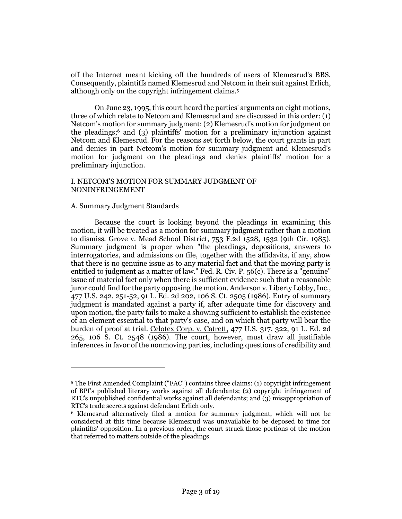off the Internet meant kicking off the hundreds of users of Klemesrud's BBS. Consequently, plaintiffs named Klemesrud and Netcom in their suit against Erlich, although only on the copyright infringement claims.<sup>5</sup>

On June 23, 1995, this court heard the parties' arguments on eight motions, three of which relate to Netcom and Klemesrud and are discussed in this order: (1) Netcom's motion for summary judgment: (2) Klemesrud's motion for judgment on the pleadings;<sup>6</sup> and (3) plaintiffs' motion for a preliminary injunction against Netcom and Klemesrud. For the reasons set forth below, the court grants in part and denies in part Netcom's motion for summary judgment and Klemesrud's motion for judgment on the pleadings and denies plaintiffs' motion for a preliminary injunction.

# I. NETCOM'S MOTION FOR SUMMARY JUDGMENT OF NONINFRINGEMENT

#### A. Summary Judgment Standards

 $\overline{a}$ 

Because the court is looking beyond the pleadings in examining this motion, it will be treated as a motion for summary judgment rather than a motion to dismiss. Grove v. Mead School District, 753 F.2d 1528, 1532 (9th Cir. 1985). Summary judgment is proper when "the pleadings, depositions, answers to interrogatories, and admissions on file, together with the affidavits, if any, show that there is no genuine issue as to any material fact and that the moving party is entitled to judgment as a matter of law." Fed. R. Civ. P. 56(c). There is a "genuine" issue of material fact only when there is sufficient evidence such that a reasonable juror could find for the party opposing the motion. Anderson v. Liberty Lobby, Inc., 477 U.S. 242, 251-52, 91 L. Ed. 2d 202, 106 S. Ct. 2505 (1986). Entry of summary judgment is mandated against a party if, after adequate time for discovery and upon motion, the party fails to make a showing sufficient to establish the existence of an element essential to that party's case, and on which that party will bear the burden of proof at trial. Celotex Corp. v. Catrett, 477 U.S. 317, 322, 91 L. Ed. 2d 265, 106 S. Ct. 2548 (1986). The court, however, must draw all justifiable inferences in favor of the nonmoving parties, including questions of credibility and

<sup>5</sup> The First Amended Complaint ("FAC") contains three claims: (1) copyright infringement of BPI's published literary works against all defendants; (2) copyright infringement of RTC's unpublished confidential works against all defendants; and (3) misappropriation of RTC's trade secrets against defendant Erlich only.

<sup>6</sup> Klemesrud alternatively filed a motion for summary judgment, which will not be considered at this time because Klemesrud was unavailable to be deposed to time for plaintiffs' opposition. In a previous order, the court struck those portions of the motion that referred to matters outside of the pleadings.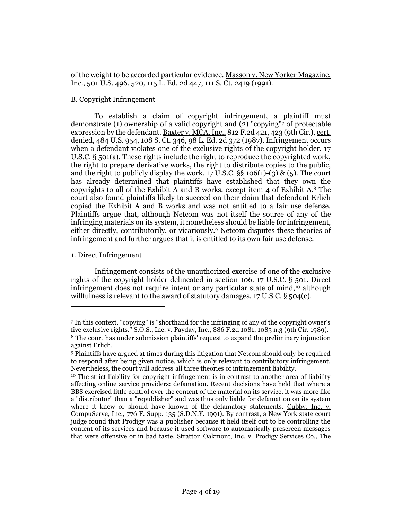of the weight to be accorded particular evidence. Masson v. New Yorker Magazine, Inc., 501 U.S. 496, 520, 115 L. Ed. 2d 447, 111 S. Ct. 2419 (1991).

# B. Copyright Infringement

To establish a claim of copyright infringement, a plaintiff must demonstrate (1) ownership of a valid copyright and (2) "copying"<sup>7</sup> of protectable expression by the defendant. Baxter v. MCA, Inc., 812 F.2d 421, 423 (9th Cir.), cert. denied, 484 U.S. 954, 108 S. Ct. 346, 98 L. Ed. 2d 372 (1987). Infringement occurs when a defendant violates one of the exclusive rights of the copyright holder. 17 U.S.C. § 501(a). These rights include the right to reproduce the copyrighted work, the right to prepare derivative works, the right to distribute copies to the public, and the right to publicly display the work. 17 U.S.C.  $\S$  106(1)-(3) & (5). The court has already determined that plaintiffs have established that they own the copyrights to all of the Exhibit A and B works, except item 4 of Exhibit A.<sup>8</sup> The court also found plaintiffs likely to succeed on their claim that defendant Erlich copied the Exhibit A and B works and was not entitled to a fair use defense. Plaintiffs argue that, although Netcom was not itself the source of any of the infringing materials on its system, it nonetheless should be liable for infringement, either directly, contributorily, or vicariously.<sup>9</sup> Netcom disputes these theories of infringement and further argues that it is entitled to its own fair use defense.

# 1. Direct Infringement

 $\overline{a}$ 

Infringement consists of the unauthorized exercise of one of the exclusive rights of the copyright holder delineated in section 106. 17 U.S.C. § 501. Direct infringement does not require intent or any particular state of mind,<sup>10</sup> although willfulness is relevant to the award of statutory damages. 17 U.S.C. § 504(c).

<sup>7</sup> In this context, "copying" is "shorthand for the infringing of any of the copyright owner's five exclusive rights." S.O.S., Inc. v. Payday, Inc., 886 F.2d 1081, 1085 n.3 (9th Cir. 1989). <sup>8</sup> The court has under submission plaintiffs' request to expand the preliminary injunction against Erlich.

<sup>9</sup> Plaintiffs have argued at times during this litigation that Netcom should only be required to respond after being given notice, which is only relevant to contributory infringement. Nevertheless, the court will address all three theories of infringement liability.

<sup>&</sup>lt;sup>10</sup> The strict liability for copyright infringement is in contrast to another area of liability affecting online service providers: defamation. Recent decisions have held that where a BBS exercised little control over the content of the material on its service, it was more like a "distributor" than a "republisher" and was thus only liable for defamation on its system where it knew or should have known of the defamatory statements. Cubby, Inc. v. CompuServe, Inc., 776 F. Supp. 135 (S.D.N.Y. 1991). By contrast, a New York state court judge found that Prodigy was a publisher because it held itself out to be controlling the content of its services and because it used software to automatically prescreen messages that were offensive or in bad taste. Stratton Oakmont, Inc. v. Prodigy Services Co., The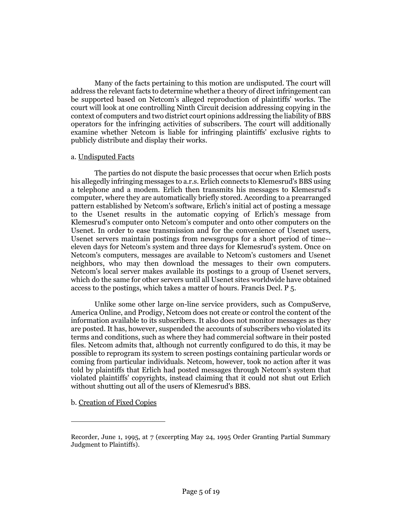Many of the facts pertaining to this motion are undisputed. The court will address the relevant facts to determine whether a theory of direct infringement can be supported based on Netcom's alleged reproduction of plaintiffs' works. The court will look at one controlling Ninth Circuit decision addressing copying in the context of computers and two district court opinions addressing the liability of BBS operators for the infringing activities of subscribers. The court will additionally examine whether Netcom is liable for infringing plaintiffs' exclusive rights to publicly distribute and display their works.

#### a. Undisputed Facts

The parties do not dispute the basic processes that occur when Erlich posts his allegedly infringing messages to a.r.s. Erlich connects to Klemesrud's BBS using a telephone and a modem. Erlich then transmits his messages to Klemesrud's computer, where they are automatically briefly stored. According to a prearranged pattern established by Netcom's software, Erlich's initial act of posting a message to the Usenet results in the automatic copying of Erlich's message from Klemesrud's computer onto Netcom's computer and onto other computers on the Usenet. In order to ease transmission and for the convenience of Usenet users, Usenet servers maintain postings from newsgroups for a short period of time- eleven days for Netcom's system and three days for Klemesrud's system. Once on Netcom's computers, messages are available to Netcom's customers and Usenet neighbors, who may then download the messages to their own computers. Netcom's local server makes available its postings to a group of Usenet servers, which do the same for other servers until all Usenet sites worldwide have obtained access to the postings, which takes a matter of hours. Francis Decl. P 5.

Unlike some other large on-line service providers, such as CompuServe, America Online, and Prodigy, Netcom does not create or control the content of the information available to its subscribers. It also does not monitor messages as they are posted. It has, however, suspended the accounts of subscribers who violated its terms and conditions, such as where they had commercial software in their posted files. Netcom admits that, although not currently configured to do this, it may be possible to reprogram its system to screen postings containing particular words or coming from particular individuals. Netcom, however, took no action after it was told by plaintiffs that Erlich had posted messages through Netcom's system that violated plaintiffs' copyrights, instead claiming that it could not shut out Erlich without shutting out all of the users of Klemesrud's BBS.

b. Creation of Fixed Copies

Recorder, June 1, 1995, at 7 (excerpting May 24, 1995 Order Granting Partial Summary Judgment to Plaintiffs).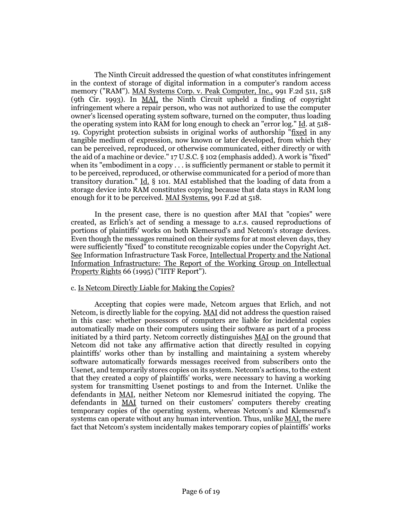The Ninth Circuit addressed the question of what constitutes infringement in the context of storage of digital information in a computer's random access memory ("RAM"). MAI Systems Corp. v. Peak Computer, Inc., 991 F.2d 511, 518 (9th Cir. 1993). In MAI, the Ninth Circuit upheld a finding of copyright infringement where a repair person, who was not authorized to use the computer owner's licensed operating system software, turned on the computer, thus loading the operating system into RAM for long enough to check an "error log." Id. at 518-19. Copyright protection subsists in original works of authorship "fixed in any tangible medium of expression, now known or later developed, from which they can be perceived, reproduced, or otherwise communicated, either directly or with the aid of a machine or device." 17 U.S.C. § 102 (emphasis added). A work is "fixed" when its "embodiment in a copy . . . is sufficiently permanent or stable to permit it to be perceived, reproduced, or otherwise communicated for a period of more than transitory duration." Id. § 101. MAI established that the loading of data from a storage device into RAM constitutes copying because that data stays in RAM long enough for it to be perceived. MAI Systems, 991 F.2d at 518.

In the present case, there is no question after MAI that "copies" were created, as Erlich's act of sending a message to a.r.s. caused reproductions of portions of plaintiffs' works on both Klemesrud's and Netcom's storage devices. Even though the messages remained on their systems for at most eleven days, they were sufficiently "fixed" to constitute recognizable copies under the Copyright Act. See Information Infrastructure Task Force, Intellectual Property and the National Information Infrastructure: The Report of the Working Group on Intellectual Property Rights 66 (1995) ("IITF Report").

# c. Is Netcom Directly Liable for Making the Copies?

Accepting that copies were made, Netcom argues that Erlich, and not Netcom, is directly liable for the copying. MAI did not address the question raised in this case: whether possessors of computers are liable for incidental copies automatically made on their computers using their software as part of a process initiated by a third party. Netcom correctly distinguishes MAI on the ground that Netcom did not take any affirmative action that directly resulted in copying plaintiffs' works other than by installing and maintaining a system whereby software automatically forwards messages received from subscribers onto the Usenet, and temporarily stores copies on its system. Netcom's actions, to the extent that they created a copy of plaintiffs' works, were necessary to having a working system for transmitting Usenet postings to and from the Internet. Unlike the defendants in MAI, neither Netcom nor Klemesrud initiated the copying. The defendants in MAI turned on their customers' computers thereby creating temporary copies of the operating system, whereas Netcom's and Klemesrud's systems can operate without any human intervention. Thus, unlike MAI, the mere fact that Netcom's system incidentally makes temporary copies of plaintiffs' works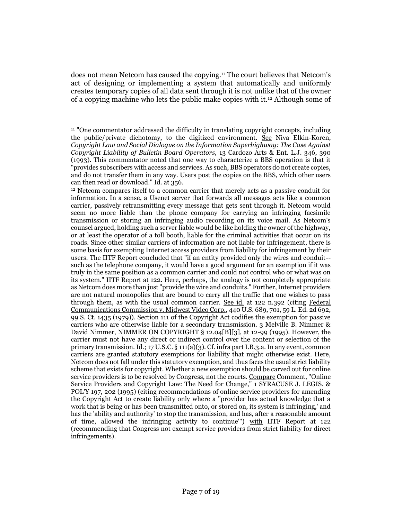does not mean Netcom has caused the copying.<sup>11</sup> The court believes that Netcom's act of designing or implementing a system that automatically and uniformly creates temporary copies of all data sent through it is not unlike that of the owner of a copying machine who lets the public make copies with it.<sup>12</sup> Although some of

<sup>11</sup> "One commentator addressed the difficulty in translating copyright concepts, including the public/private dichotomy, to the digitized environment. See Niva Elkin-Koren, *Copyright Law and Social Dialogue on the Information Superhighway: The Case Against Copyright Liability of Bulletin Board Operators,* 13 Cardozo Arts & Ent. L.J. 346, 390 (1993). This commentator noted that one way to characterize a BBS operation is that it "provides subscribers with access and services. As such, BBS operators do not create copies, and do not transfer them in any way. Users post the copies on the BBS, which other users can then read or download." Id. at 356.

<sup>12</sup> Netcom compares itself to a common carrier that merely acts as a passive conduit for information. In a sense, a Usenet server that forwards all messages acts like a common carrier, passively retransmitting every message that gets sent through it. Netcom would seem no more liable than the phone company for carrying an infringing facsimile transmission or storing an infringing audio recording on its voice mail. As Netcom's counsel argued, holding such a server liable would be like holding the owner of the highway, or at least the operator of a toll booth, liable for the criminal activities that occur on its roads. Since other similar carriers of information are not liable for infringement, there is some basis for exempting Internet access providers from liability for infringement by their users. The IITF Report concluded that "if an entity provided only the wires and conduit- such as the telephone company, it would have a good argument for an exemption if it was truly in the same position as a common carrier and could not control who or what was on its system." IITF Report at 122. Here, perhaps, the analogy is not completely appropriate as Netcom does more than just "provide the wire and conduits." Further, Internet providers are not natural monopolies that are bound to carry all the traffic that one wishes to pass through them, as with the usual common carrier. See id. at 122 n.392 (citing Federal Communications Commission v. Midwest Video Corp., 440 U.S. 689, 701, 59 L. Ed. 2d 692, 99 S. Ct. 1435 (1979)). Section 111 of the Copyright Act codifies the exemption for passive carriers who are otherwise liable for a secondary transmission. 3 Melville B. Nimmer & David Nimmer, NIMMER ON COPYRIGHT § 12.04[B][3], at 12-99 (1995). However, the carrier must not have any direct or indirect control over the content or selection of the primary transmission. <u>Id.</u>; 17 U.S.C.  $\S$  111(a)(3). Cf. infra part I.B.3.a. In any event, common carriers are granted statutory exemptions for liability that might otherwise exist. Here, Netcom does not fall under this statutory exemption, and thus faces the usual strict liability scheme that exists for copyright. Whether a new exemption should be carved out for online service providers is to be resolved by Congress, not the courts. Compare Comment, "Online Service Providers and Copyright Law: The Need for Change," 1 SYRACUSE J. LEGIS. & POL'Y 197, 202 (1995) (citing recommendations of online service providers for amending the Copyright Act to create liability only where a "provider has actual knowledge that a work that is being or has been transmitted onto, or stored on, its system is infringing,' and has the 'ability and authority' to stop the transmission, and has, after a reasonable amount of time, allowed the infringing activity to continue'") with IITF Report at 122 (recommending that Congress not exempt service providers from strict liability for direct infringements).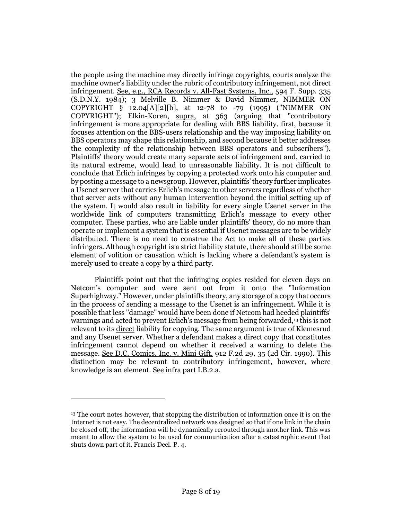the people using the machine may directly infringe copyrights, courts analyze the machine owner's liability under the rubric of contributory infringement, not direct infringement. See, e.g., RCA Records v. All-Fast Systems, Inc., 594 F. Supp. 335 (S.D.N.Y. 1984); 3 Melville B. Nimmer & David Nimmer, NIMMER ON COPYRIGHT § 12.04[A][2][b], at 12-78 to -79 (1995) ("NIMMER ON COPYRIGHT"); Elkin-Koren, supra, at 363 (arguing that "contributory infringement is more appropriate for dealing with BBS liability, first, because it focuses attention on the BBS-users relationship and the way imposing liability on BBS operators may shape this relationship, and second because it better addresses the complexity of the relationship between BBS operators and subscribers"). Plaintiffs' theory would create many separate acts of infringement and, carried to its natural extreme, would lead to unreasonable liability. It is not difficult to conclude that Erlich infringes by copying a protected work onto his computer and by posting a message to a newsgroup. However, plaintiffs' theory further implicates a Usenet server that carries Erlich's message to other servers regardless of whether that server acts without any human intervention beyond the initial setting up of the system. It would also result in liability for every single Usenet server in the worldwide link of computers transmitting Erlich's message to every other computer. These parties, who are liable under plaintiffs' theory, do no more than operate or implement a system that is essential if Usenet messages are to be widely distributed. There is no need to construe the Act to make all of these parties infringers. Although copyright is a strict liability statute, there should still be some element of volition or causation which is lacking where a defendant's system is merely used to create a copy by a third party.

Plaintiffs point out that the infringing copies resided for eleven days on Netcom's computer and were sent out from it onto the "Information Superhighway." However, under plaintiffs theory, any storage of a copy that occurs in the process of sending a message to the Usenet is an infringement. While it is possible that less "damage" would have been done if Netcom had heeded plaintiffs' warnings and acted to prevent Erlich's message from being forwarded,<sup>13</sup> this is not relevant to its direct liability for copying. The same argument is true of Klemesrud and any Usenet server. Whether a defendant makes a direct copy that constitutes infringement cannot depend on whether it received a warning to delete the message. See D.C. Comics, Inc. v. Mini Gift, 912 F.2d 29, 35 (2d Cir. 1990). This distinction may be relevant to contributory infringement, however, where knowledge is an element. See infra part I.B.2.a.

<sup>&</sup>lt;sup>13</sup> The court notes however, that stopping the distribution of information once it is on the Internet is not easy. The decentralized network was designed so that if one link in the chain be closed off, the information will be dynamically rerouted through another link. This was meant to allow the system to be used for communication after a catastrophic event that shuts down part of it. Francis Decl. P. 4.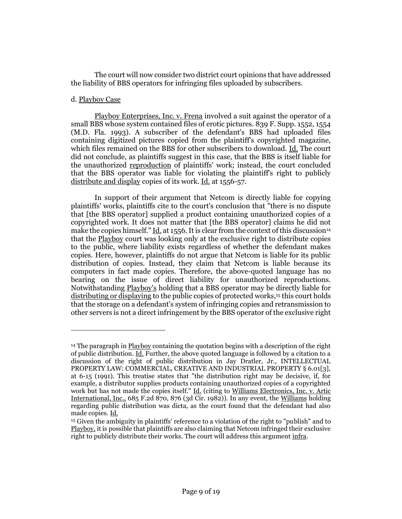The court will now consider two district court opinions that have addressed the liability of BBS operators for infringing files uploaded by subscribers.

# d. Playboy Case

 $\overline{a}$ 

Playboy Enterprises, Inc. v. Frena involved a suit against the operator of a small BBS whose system contained files of erotic pictures. 839 F. Supp. 1552, 1554 (M.D. Fla. 1993). A subscriber of the defendant's BBS had uploaded files containing digitized pictures copied from the plaintiff's copyrighted magazine, which files remained on the BBS for other subscribers to download. Id. The court did not conclude, as plaintiffs suggest in this case, that the BBS is itself liable for the unauthorized reproduction of plaintiffs' work; instead, the court concluded that the BBS operator was liable for violating the plaintiff's right to publicly distribute and display copies of its work. Id. at 1556-57.

In support of their argument that Netcom is directly liable for copying plaintiffs' works, plaintiffs cite to the court's conclusion that "there is no dispute that [the BBS operator] supplied a product containing unauthorized copies of a copyrighted work. It does not matter that [the BBS operator] claims he did not make the copies himself." Id. at 1556. It is clear from the context of this discussion<sup>14</sup> that the Playboy court was looking only at the exclusive right to distribute copies to the public, where liability exists regardless of whether the defendant makes copies. Here, however, plaintiffs do not argue that Netcom is liable for its public distribution of copies. Instead, they claim that Netcom is liable because its computers in fact made copies. Therefore, the above-quoted language has no bearing on the issue of direct liability for unauthorized reproductions. Notwithstanding Playboy's holding that a BBS operator may be directly liable for distributing or displaying to the public copies of protected works,<sup>15</sup> this court holds that the storage on a defendant's system of infringing copies and retransmission to other servers is not a direct infringement by the BBS operator of the exclusive right

 $14$  The paragraph in Playboy containing the quotation begins with a description of the right of public distribution. Id. Further, the above quoted language is followed by a citation to a discussion of the right of public distribution in Jay Dratler, Jr., INTELLECTUAL PROPERTY LAW: COMMERCIAL, CREATIVE AND INDUSTRIAL PROPERTY § 6.01[3], at 6-15 (1991). This treatise states that "the distribution right may be decisive, if, for example, a distributor supplies products containing unauthorized copies of a copyrighted work but has not made the copies itself." Id. (citing to Williams Electronics, Inc. v. Artic International, Inc., 685 F.2d 870, 876 (3d Cir. 1982)). In any event, the Williams holding regarding public distribution was dicta, as the court found that the defendant had also made copies. Id.

<sup>15</sup> Given the ambiguity in plaintiffs' reference to a violation of the right to "publish" and to Playboy, it is possible that plaintiffs are also claiming that Netcom infringed their exclusive right to publicly distribute their works. The court will address this argument infra.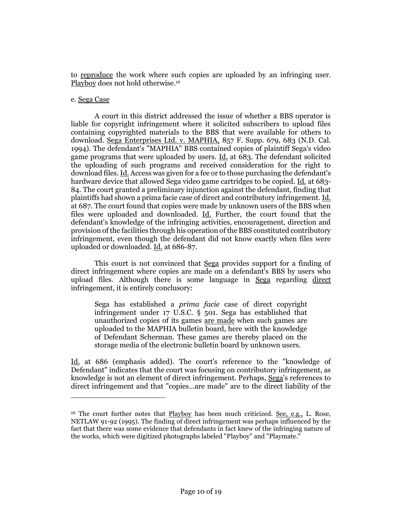to reproduce the work where such copies are uploaded by an infringing user. Playboy does not hold otherwise.<sup>16</sup>

#### e. Sega Case

 $\overline{a}$ 

A court in this district addressed the issue of whether a BBS operator is liable for copyright infringement where it solicited subscribers to upload files containing copyrighted materials to the BBS that were available for others to download. Sega Enterprises Ltd. v. MAPHIA, 857 F. Supp. 679, 683 (N.D. Cal. 1994). The defendant's "MAPHIA" BBS contained copies of plaintiff Sega's video game programs that were uploaded by users. Id. at 683. The defendant solicited the uploading of such programs and received consideration for the right to download files. Id. Access was given for a fee or to those purchasing the defendant's hardware device that allowed Sega video game cartridges to be copied. Id. at 683- 84. The court granted a preliminary injunction against the defendant, finding that plaintiffs had shown a prima facie case of direct and contributory infringement. Id. at 687. The court found that copies were made by unknown users of the BBS when files were uploaded and downloaded. Id. Further, the court found that the defendant's knowledge of the infringing activities, encouragement, direction and provision of the facilities through his operation of the BBS constituted contributory infringement, even though the defendant did not know exactly when files were uploaded or downloaded. Id. at 686-87.

This court is not convinced that Sega provides support for a finding of direct infringement where copies are made on a defendant's BBS by users who upload files. Although there is some language in Sega regarding direct infringement, it is entirely conclusory:

Sega has established a *prima facie* case of direct copyright infringement under 17 U.S.C. § 501. Sega has established that unauthorized copies of its games are made when such games are uploaded to the MAPHIA bulletin board, here with the knowledge of Defendant Scherman. These games are thereby placed on the storage media of the electronic bulletin board by unknown users.

Id. at 686 (emphasis added). The court's reference to the "knowledge of Defendant" indicates that the court was focusing on contributory infringement, as knowledge is not an element of direct infringement. Perhaps, Sega's references to direct infringement and that "copies…are made" are to the direct liability of the

<sup>&</sup>lt;sup>16</sup> The court further notes that  $Playboy$  has been much criticized. <u>See, e.g.</u>, L. Rose, NETLAW 91-92 (1995). The finding of direct infringement was perhaps influenced by the fact that there was some evidence that defendants in fact knew of the infringing nature of the works, which were digitized photographs labeled "Playboy" and "Playmate."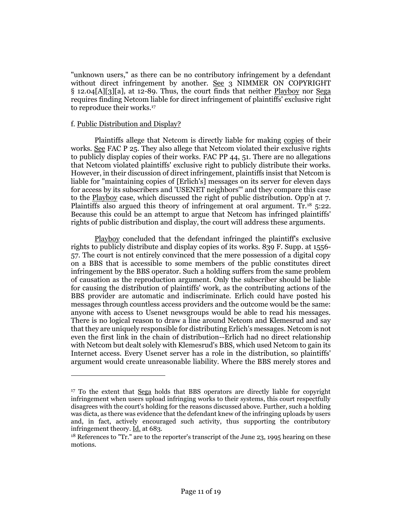"unknown users," as there can be no contributory infringement by a defendant without direct infringement by another. See 3 NIMMER ON COPYRIGHT § 12.04[A][3][a], at 12-89. Thus, the court finds that neither Playboy nor Sega requires finding Netcom liable for direct infringement of plaintiffs' exclusive right to reproduce their works.<sup>17</sup>

## f. Public Distribution and Display?

 $\overline{a}$ 

Plaintiffs allege that Netcom is directly liable for making copies of their works. See FAC P 25. They also allege that Netcom violated their exclusive rights to publicly display copies of their works. FAC PP 44, 51. There are no allegations that Netcom violated plaintiffs' exclusive right to publicly distribute their works. However, in their discussion of direct infringement, plaintiffs insist that Netcom is liable for "maintaining copies of [Erlich's] messages on its server for eleven days for access by its subscribers and 'USENET neighbors'" and they compare this case to the Playboy case, which discussed the right of public distribution. Opp'n at 7. Plaintiffs also argued this theory of infringement at oral argument. Tr.<sup>18</sup> 5:22. Because this could be an attempt to argue that Netcom has infringed plaintiffs' rights of public distribution and display, the court will address these arguments.

Playboy concluded that the defendant infringed the plaintiff's exclusive rights to publicly distribute and display copies of its works. 839 F. Supp. at 1556- 57. The court is not entirely convinced that the mere possession of a digital copy on a BBS that is accessible to some members of the public constitutes direct infringement by the BBS operator. Such a holding suffers from the same problem of causation as the reproduction argument. Only the subscriber should be liable for causing the distribution of plaintiffs' work, as the contributing actions of the BBS provider are automatic and indiscriminate. Erlich could have posted his messages through countless access providers and the outcome would be the same: anyone with access to Usenet newsgroups would be able to read his messages. There is no logical reason to draw a line around Netcom and Klemesrud and say that they are uniquely responsible for distributing Erlich's messages. Netcom is not even the first link in the chain of distribution--Erlich had no direct relationship with Netcom but dealt solely with Klemesrud's BBS, which used Netcom to gain its Internet access. Every Usenet server has a role in the distribution, so plaintiffs' argument would create unreasonable liability. Where the BBS merely stores and

<sup>17</sup> To the extent that Sega holds that BBS operators are directly liable for copyright infringement when users upload infringing works to their systems, this court respectfully disagrees with the court's holding for the reasons discussed above. Further, such a holding was dicta, as there was evidence that the defendant knew of the infringing uploads by users and, in fact, actively encouraged such activity, thus supporting the contributory infringement theory. Id. at 683.

<sup>&</sup>lt;sup>18</sup> References to "Tr." are to the reporter's transcript of the June 23, 1995 hearing on these motions.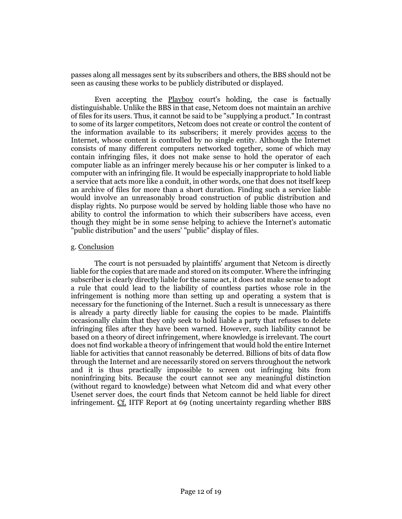passes along all messages sent by its subscribers and others, the BBS should not be seen as causing these works to be publicly distributed or displayed.

Even accepting the Playboy court's holding, the case is factually distinguishable. Unlike the BBS in that case, Netcom does not maintain an archive of files for its users. Thus, it cannot be said to be "supplying a product." In contrast to some of its larger competitors, Netcom does not create or control the content of the information available to its subscribers; it merely provides access to the Internet, whose content is controlled by no single entity. Although the Internet consists of many different computers networked together, some of which may contain infringing files, it does not make sense to hold the operator of each computer liable as an infringer merely because his or her computer is linked to a computer with an infringing file. It would be especially inappropriate to hold liable a service that acts more like a conduit, in other words, one that does not itself keep an archive of files for more than a short duration. Finding such a service liable would involve an unreasonably broad construction of public distribution and display rights. No purpose would be served by holding liable those who have no ability to control the information to which their subscribers have access, even though they might be in some sense helping to achieve the Internet's automatic "public distribution" and the users' "public" display of files.

# g. Conclusion

The court is not persuaded by plaintiffs' argument that Netcom is directly liable for the copies that are made and stored on its computer. Where the infringing subscriber is clearly directly liable for the same act, it does not make sense to adopt a rule that could lead to the liability of countless parties whose role in the infringement is nothing more than setting up and operating a system that is necessary for the functioning of the Internet. Such a result is unnecessary as there is already a party directly liable for causing the copies to be made. Plaintiffs occasionally claim that they only seek to hold liable a party that refuses to delete infringing files after they have been warned. However, such liability cannot be based on a theory of direct infringement, where knowledge is irrelevant. The court does not find workable a theory of infringement that would hold the entire Internet liable for activities that cannot reasonably be deterred. Billions of bits of data flow through the Internet and are necessarily stored on servers throughout the network and it is thus practically impossible to screen out infringing bits from noninfringing bits. Because the court cannot see any meaningful distinction (without regard to knowledge) between what Netcom did and what every other Usenet server does, the court finds that Netcom cannot be held liable for direct infringement. Cf. IITF Report at 69 (noting uncertainty regarding whether BBS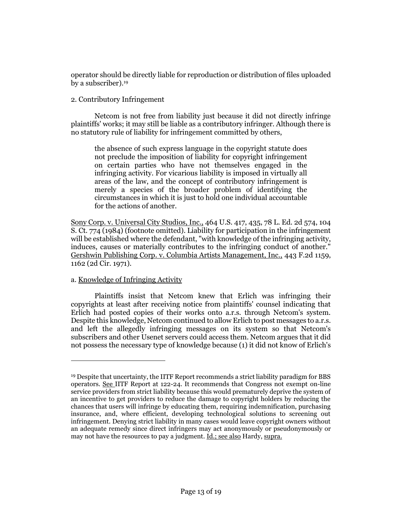operator should be directly liable for reproduction or distribution of files uploaded by a subscriber).<sup>19</sup>

# 2. Contributory Infringement

Netcom is not free from liability just because it did not directly infringe plaintiffs' works; it may still be liable as a contributory infringer. Although there is no statutory rule of liability for infringement committed by others,

the absence of such express language in the copyright statute does not preclude the imposition of liability for copyright infringement on certain parties who have not themselves engaged in the infringing activity. For vicarious liability is imposed in virtually all areas of the law, and the concept of contributory infringement is merely a species of the broader problem of identifying the circumstances in which it is just to hold one individual accountable for the actions of another.

Sony Corp. v. Universal City Studios, Inc., 464 U.S. 417, 435, 78 L. Ed. 2d 574, 104 S. Ct. 774 (1984) (footnote omitted). Liability for participation in the infringement will be established where the defendant, "with knowledge of the infringing activity, induces, causes or materially contributes to the infringing conduct of another." Gershwin Publishing Corp. v. Columbia Artists Management, Inc., 443 F.2d 1159, 1162 (2d Cir. 1971).

# a. Knowledge of Infringing Activity

 $\overline{a}$ 

Plaintiffs insist that Netcom knew that Erlich was infringing their copyrights at least after receiving notice from plaintiffs' counsel indicating that Erlich had posted copies of their works onto a.r.s. through Netcom's system. Despite this knowledge, Netcom continued to allow Erlich to post messages to a.r.s. and left the allegedly infringing messages on its system so that Netcom's subscribers and other Usenet servers could access them. Netcom argues that it did not possess the necessary type of knowledge because (1) it did not know of Erlich's

<sup>19</sup> Despite that uncertainty, the IITF Report recommends a strict liability paradigm for BBS operators. See IITF Report at 122-24. It recommends that Congress not exempt on-line service providers from strict liability because this would prematurely deprive the system of an incentive to get providers to reduce the damage to copyright holders by reducing the chances that users will infringe by educating them, requiring indemnification, purchasing insurance, and, where efficient, developing technological solutions to screening out infringement. Denying strict liability in many cases would leave copyright owners without an adequate remedy since direct infringers may act anonymously or pseudonymously or may not have the resources to pay a judgment. Id.; see also Hardy, supra.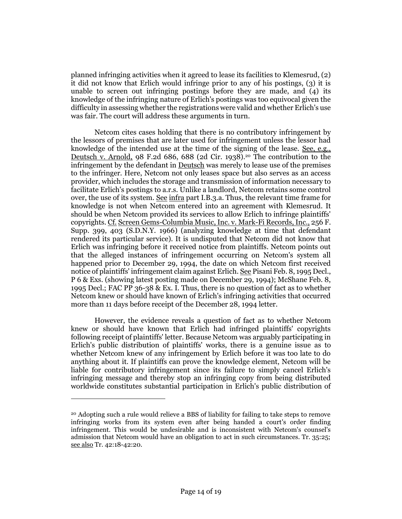planned infringing activities when it agreed to lease its facilities to Klemesrud, (2) it did not know that Erlich would infringe prior to any of his postings, (3) it is unable to screen out infringing postings before they are made, and (4) its knowledge of the infringing nature of Erlich's postings was too equivocal given the difficulty in assessing whether the registrations were valid and whether Erlich's use was fair. The court will address these arguments in turn.

Netcom cites cases holding that there is no contributory infringement by the lessors of premises that are later used for infringement unless the lessor had knowledge of the intended use at the time of the signing of the lease. See, e.g., Deutsch v. Arnold, 98 F.2d 686, 688 (2d Cir. 1938).<sup>20</sup> The contribution to the infringement by the defendant in Deutsch was merely to lease use of the premises to the infringer. Here, Netcom not only leases space but also serves as an access provider, which includes the storage and transmission of information necessary to facilitate Erlich's postings to a.r.s. Unlike a landlord, Netcom retains some control over, the use of its system. See infra part I.B.3.a. Thus, the relevant time frame for knowledge is not when Netcom entered into an agreement with Klemesrud. It should be when Netcom provided its services to allow Erlich to infringe plaintiffs' copyrights. Cf. Screen Gems-Columbia Music, Inc. v. Mark-Fi Records, Inc., 256 F. Supp. 399, 403 (S.D.N.Y. 1966) (analyzing knowledge at time that defendant rendered its particular service). It is undisputed that Netcom did not know that Erlich was infringing before it received notice from plaintiffs. Netcom points out that the alleged instances of infringement occurring on Netcom's system all happened prior to December 29, 1994, the date on which Netcom first received notice of plaintiffs' infringement claim against Erlich. See Pisani Feb. 8, 1995 Decl., P 6 & Exs. (showing latest posting made on December 29, 1994); McShane Feb. 8, 1995 Decl.; FAC PP 36-38 & Ex. I. Thus, there is no question of fact as to whether Netcom knew or should have known of Erlich's infringing activities that occurred more than 11 days before receipt of the December 28, 1994 letter.

However, the evidence reveals a question of fact as to whether Netcom knew or should have known that Erlich had infringed plaintiffs' copyrights following receipt of plaintiffs' letter. Because Netcom was arguably participating in Erlich's public distribution of plaintiffs' works, there is a genuine issue as to whether Netcom knew of any infringement by Erlich before it was too late to do anything about it. If plaintiffs can prove the knowledge element, Netcom will be liable for contributory infringement since its failure to simply cancel Erlich's infringing message and thereby stop an infringing copy from being distributed worldwide constitutes substantial participation in Erlich's public distribution of

<sup>&</sup>lt;sup>20</sup> Adopting such a rule would relieve a BBS of liability for failing to take steps to remove infringing works from its system even after being handed a court's order finding infringement. This would be undesirable and is inconsistent with Netcom's counsel's admission that Netcom would have an obligation to act in such circumstances. Tr. 35:25; see also Tr. 42:18-42:20.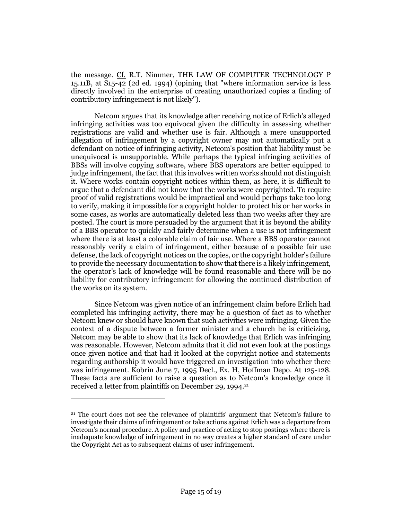the message. Cf. R.T. Nimmer, THE LAW OF COMPUTER TECHNOLOGY P 15.11B, at S15-42 (2d ed. 1994) (opining that "where information service is less directly involved in the enterprise of creating unauthorized copies a finding of contributory infringement is not likely").

Netcom argues that its knowledge after receiving notice of Erlich's alleged infringing activities was too equivocal given the difficulty in assessing whether registrations are valid and whether use is fair. Although a mere unsupported allegation of infringement by a copyright owner may not automatically put a defendant on notice of infringing activity, Netcom's position that liability must be unequivocal is unsupportable. While perhaps the typical infringing activities of BBSs will involve copying software, where BBS operators are better equipped to judge infringement, the fact that this involves written works should not distinguish it. Where works contain copyright notices within them, as here, it is difficult to argue that a defendant did not know that the works were copyrighted. To require proof of valid registrations would be impractical and would perhaps take too long to verify, making it impossible for a copyright holder to protect his or her works in some cases, as works are automatically deleted less than two weeks after they are posted. The court is more persuaded by the argument that it is beyond the ability of a BBS operator to quickly and fairly determine when a use is not infringement where there is at least a colorable claim of fair use. Where a BBS operator cannot reasonably verify a claim of infringement, either because of a possible fair use defense, the lack of copyright notices on the copies, or the copyright holder's failure to provide the necessary documentation to show that there is a likely infringement, the operator's lack of knowledge will be found reasonable and there will be no liability for contributory infringement for allowing the continued distribution of the works on its system.

Since Netcom was given notice of an infringement claim before Erlich had completed his infringing activity, there may be a question of fact as to whether Netcom knew or should have known that such activities were infringing. Given the context of a dispute between a former minister and a church he is criticizing, Netcom may be able to show that its lack of knowledge that Erlich was infringing was reasonable. However, Netcom admits that it did not even look at the postings once given notice and that had it looked at the copyright notice and statements regarding authorship it would have triggered an investigation into whether there was infringement. Kobrin June 7, 1995 Decl., Ex. H, Hoffman Depo. At 125-128. These facts are sufficient to raise a question as to Netcom's knowledge once it received a letter from plaintiffs on December 29, 1994.<sup>21</sup>

<sup>&</sup>lt;sup>21</sup> The court does not see the relevance of plaintiffs' argument that Netcom's failure to investigate their claims of infringement or take actions against Erlich was a departure from Netcom's normal procedure. A policy and practice of acting to stop postings where there is inadequate knowledge of infringement in no way creates a higher standard of care under the Copyright Act as to subsequent claims of user infringement.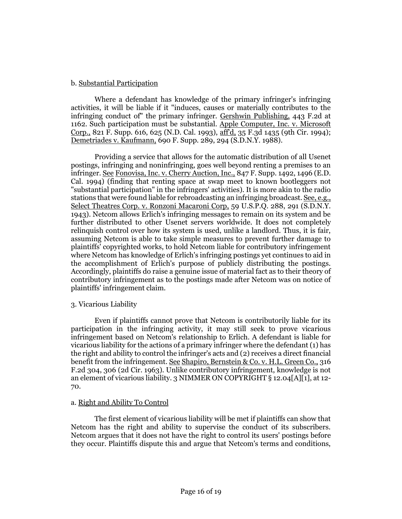# b. Substantial Participation

Where a defendant has knowledge of the primary infringer's infringing activities, it will be liable if it "induces, causes or materially contributes to the infringing conduct of" the primary infringer. Gershwin Publishing, 443 F.2d at 1162. Such participation must be substantial. Apple Computer, Inc. v. Microsoft Corp., 821 F. Supp. 616, 625 (N.D. Cal. 1993), aff'd, 35 F.3d 1435 (9th Cir. 1994); Demetriades v. Kaufmann, 690 F. Supp. 289, 294 (S.D.N.Y. 1988).

Providing a service that allows for the automatic distribution of all Usenet postings, infringing and noninfringing, goes well beyond renting a premises to an infringer. See Fonovisa, Inc. v. Cherry Auction, Inc., 847 F. Supp. 1492, 1496 (E.D. Cal. 1994) (finding that renting space at swap meet to known bootleggers not "substantial participation" in the infringers' activities). It is more akin to the radio stations that were found liable for rebroadcasting an infringing broadcast. See, e.g., Select Theatres Corp. v. Ronzoni Macaroni Corp, 59 U.S.P.Q. 288, 291 (S.D.N.Y. 1943). Netcom allows Erlich's infringing messages to remain on its system and be further distributed to other Usenet servers worldwide. It does not completely relinquish control over how its system is used, unlike a landlord. Thus, it is fair, assuming Netcom is able to take simple measures to prevent further damage to plaintiffs' copyrighted works, to hold Netcom liable for contributory infringement where Netcom has knowledge of Erlich's infringing postings yet continues to aid in the accomplishment of Erlich's purpose of publicly distributing the postings. Accordingly, plaintiffs do raise a genuine issue of material fact as to their theory of contributory infringement as to the postings made after Netcom was on notice of plaintiffs' infringement claim.

# 3. Vicarious Liability

Even if plaintiffs cannot prove that Netcom is contributorily liable for its participation in the infringing activity, it may still seek to prove vicarious infringement based on Netcom's relationship to Erlich. A defendant is liable for vicarious liability for the actions of a primary infringer where the defendant (1) has the right and ability to control the infringer's acts and (2) receives a direct financial benefit from the infringement. See Shapiro, Bernstein & Co. v. H.L. Green Co., 316 F.2d 304, 306 (2d Cir. 1963). Unlike contributory infringement, knowledge is not an element of vicarious liability. 3 NIMMER ON COPYRIGHT § 12.04[A][1], at 12- 70.

# a. Right and Ability To Control

The first element of vicarious liability will be met if plaintiffs can show that Netcom has the right and ability to supervise the conduct of its subscribers. Netcom argues that it does not have the right to control its users' postings before they occur. Plaintiffs dispute this and argue that Netcom's terms and conditions,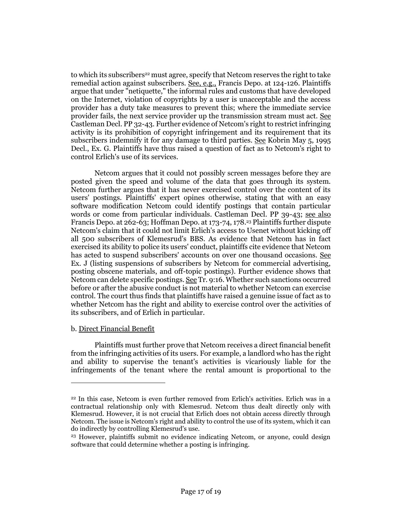to which its subscribers<sup>22</sup> must agree, specify that Netcom reserves the right to take remedial action against subscribers. See, e.g., Francis Depo. at 124-126. Plaintiffs argue that under "netiquette," the informal rules and customs that have developed on the Internet, violation of copyrights by a user is unacceptable and the access provider has a duty take measures to prevent this; where the immediate service provider fails, the next service provider up the transmission stream must act. See Castleman Decl. PP 32-43. Further evidence of Netcom's right to restrict infringing activity is its prohibition of copyright infringement and its requirement that its subscribers indemnify it for any damage to third parties. See Kobrin May 5, 1995 Decl., Ex. G. Plaintiffs have thus raised a question of fact as to Netcom's right to control Erlich's use of its services.

Netcom argues that it could not possibly screen messages before they are posted given the speed and volume of the data that goes through its system. Netcom further argues that it has never exercised control over the content of its users' postings. Plaintiffs' expert opines otherwise, stating that with an easy software modification Netcom could identify postings that contain particular words or come from particular individuals. Castleman Decl. PP 39-43; see also Francis Depo. at 262-63; Hoffman Depo. at 173-74, 178.<sup>23</sup> Plaintiffs further dispute Netcom's claim that it could not limit Erlich's access to Usenet without kicking off all 500 subscribers of Klemesrud's BBS. As evidence that Netcom has in fact exercised its ability to police its users' conduct, plaintiffs cite evidence that Netcom has acted to suspend subscribers' accounts on over one thousand occasions. See Ex. J (listing suspensions of subscribers by Netcom for commercial advertising, posting obscene materials, and off-topic postings). Further evidence shows that Netcom can delete specific postings. See Tr. 9:16. Whether such sanctions occurred before or after the abusive conduct is not material to whether Netcom can exercise control. The court thus finds that plaintiffs have raised a genuine issue of fact as to whether Netcom has the right and ability to exercise control over the activities of its subscribers, and of Erlich in particular.

# b. Direct Financial Benefit

 $\overline{a}$ 

Plaintiffs must further prove that Netcom receives a direct financial benefit from the infringing activities of its users. For example, a landlord who has the right and ability to supervise the tenant's activities is vicariously liable for the infringements of the tenant where the rental amount is proportional to the

<sup>22</sup> In this case, Netcom is even further removed from Erlich's activities. Erlich was in a contractual relationship only with Klemesrud. Netcom thus dealt directly only with Klemesrud. However, it is not crucial that Erlich does not obtain access directly through Netcom. The issue is Netcom's right and ability to control the use of its system, which it can do indirectly by controlling Klemesrud's use.

<sup>23</sup> However, plaintiffs submit no evidence indicating Netcom, or anyone, could design software that could determine whether a posting is infringing.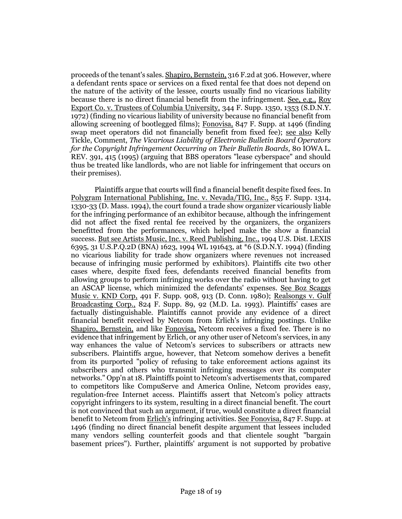proceeds of the tenant's sales. Shapiro, Bernstein, 316 F.2d at 306. However, where a defendant rents space or services on a fixed rental fee that does not depend on the nature of the activity of the lessee, courts usually find no vicarious liability because there is no direct financial benefit from the infringement. See, e.g., Roy Export Co. v. Trustees of Columbia University, 344 F. Supp. 1350, 1353 (S.D.N.Y. 1972) (finding no vicarious liability of university because no financial benefit from allowing screening of bootlegged films); Fonovisa, 847 F. Supp. at 1496 (finding swap meet operators did not financially benefit from fixed fee); see also Kelly Tickle, Comment, *The Vicarious Liability of Electronic Bulletin Board Operators for the Copyright Infringement Occurring on Their Bulletin Boards,* 80 IOWA L. REV. 391, 415 (1995) (arguing that BBS operators "lease cyberspace" and should thus be treated like landlords, who are not liable for infringement that occurs on their premises).

Plaintiffs argue that courts will find a financial benefit despite fixed fees. In Polygram International Publishing, Inc. v. Nevada/TIG, Inc., 855 F. Supp. 1314, 1330-33 (D. Mass. 1994), the court found a trade show organizer vicariously liable for the infringing performance of an exhibitor because, although the infringement did not affect the fixed rental fee received by the organizers, the organizers benefitted from the performances, which helped make the show a financial success. But see Artists Music, Inc. v. Reed Publishing, Inc., 1994 U.S. Dist. LEXIS 6395, 31 U.S.P.Q.2D (BNA) 1623, 1994 WL 191643, at \*6 (S.D.N.Y. 1994) (finding no vicarious liability for trade show organizers where revenues not increased because of infringing music performed by exhibitors). Plaintiffs cite two other cases where, despite fixed fees, defendants received financial benefits from allowing groups to perform infringing works over the radio without having to get an ASCAP license, which minimized the defendants' expenses. See Boz Scaggs Music v. KND Corp, 491 F. Supp. 908, 913 (D. Conn. 1980); Realsongs v. Gulf Broadcasting Corp., 824 F. Supp. 89, 92 (M.D. La. 1993). Plaintiffs' cases are factually distinguishable. Plaintiffs cannot provide any evidence of a direct financial benefit received by Netcom from Erlich's infringing postings. Unlike Shapiro, Bernstein, and like Fonovisa, Netcom receives a fixed fee. There is no evidence that infringement by Erlich, or any other user of Netcom's services, in any way enhances the value of Netcom's services to subscribers or attracts new subscribers. Plaintiffs argue, however, that Netcom somehow derives a benefit from its purported "policy of refusing to take enforcement actions against its subscribers and others who transmit infringing messages over its computer networks." Opp'n at 18. Plaintiffs point to Netcom's advertisements that, compared to competitors like CompuServe and America Online, Netcom provides easy, regulation-free Internet access. Plaintiffs assert that Netcom's policy attracts copyright infringers to its system, resulting in a direct financial benefit. The court is not convinced that such an argument, if true, would constitute a direct financial benefit to Netcom from Erlich's infringing activities. See Fonovisa, 847 F. Supp. at 1496 (finding no direct financial benefit despite argument that lessees included many vendors selling counterfeit goods and that clientele sought "bargain basement prices"). Further, plaintiffs' argument is not supported by probative